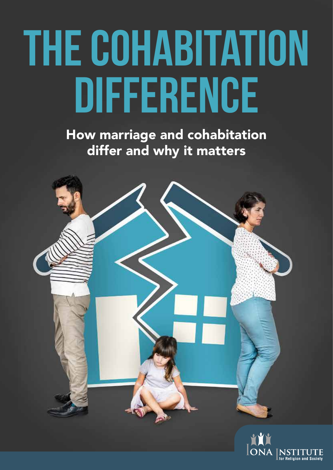# **The Cohabitation Difference**

How marriage and cohabitation differ and why it matters

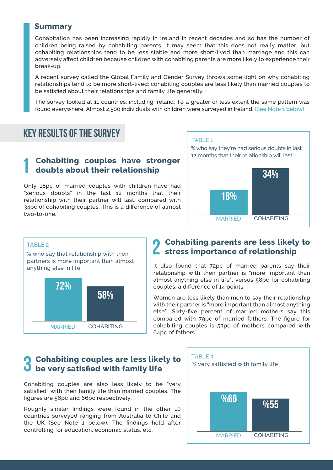#### **Summary**

Cohabitation has been increasing rapidly in Ireland in recent decades and so has the number of children being raised by cohabiting parents. It may seem that this does not really matter, but cohabiting relationships tend to be less stable and more short-lived than marriage and this can adversely affect children because children with cohabiting parents are more likely to experience their break-up.

A recent survey called the Global Family and Gender Survey throws some light on why cohabiting relationships tend to be more short-lived: cohabiting couples are less likely than married couples to be satisfied about their relationships and family life generally.

The survey looked at 11 countries, including Ireland. To a greater or less extent the same pattern was found everywhere. Almost 2,500 individuals with children were surveyed in Ireland. (See Note 1 below).

#### **Key results of the survey**

#### **Cohabiting couples have stronger doubts about their relationship 1**

Only 18pc of married couples with children have had "serious doubts" in the last 12 months that their relationship with their partner will last, compared with 34pc of cohabiting couples. This is a difference of almost two-to-one.





## **Cohabiting parents are less likely to 2** Cohabiting parents are less likely<br> **2** stress importance of relationship

It also found that 72pc of married parents say their relationship with their partner is "more important than almost anything else in life", versus 58pc for cohabiting couples, a difference of 14 points.

Women are less likely than men to say their relationship with their partner is "more important than almost anything else". Sixty-five percent of married mothers say this compared with 79pc of married fathers. The figure for cohabiting couples is 53pc of mothers compared with 64pc of fathers.

## **Cohabiting couples are less likely to h** Cohabiting couples are less like<br> **b** be very satisfied with family life

Cohabiting couples are also less likely to be "very satisfied" with their family life than married couples. The figures are 56pc and 66pc respectively.

Roughly similar findings were found in the other 10 countries surveyed ranging from Australia to Chile and the UK (See Note 1 below). The findings hold after controlling for education, economic status, etc.

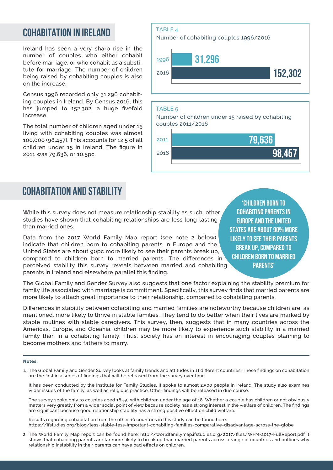## **Cohabitation in Ireland**

Ireland has seen a very sharp rise in the number of couples who either cohabit before marriage, or who cohabit as a substitute for marriage. The number of children being raised by cohabiting couples is also on the increase.

Census 1996 recorded only 31,296 cohabiting couples in Ireland. By Census 2016, this has jumped to 152,302, a huge fivefold increase.

The total number of children aged under 15 living with cohabiting couples was almost 100,000 (98,457). This accounts for 12.5 of all children under 15 in Ireland. The figure in 2011 was 79,636, or 10.5pc.





# **Cohabitation and stability**

While this survey does not measure relationship stability as such, other studies have shown that cohabiting relationships are less long-lasting than married ones.

Data from the 2017 World Family Map report (see note 2 below) indicate that children born to cohabiting parents in Europe and the United States are about 90pc more likely to see their parents break up, compared to children born to married parents. The differences in perceived stability this survey reveals between married and cohabiting parents in Ireland and elsewhere parallel this finding.

**'Children born to cohabiting parents in Europe and the United States are about 90% more likely to see their parents break up, compared to children born to married parents'**

The Global Family and Gender Survey also suggests that one factor explaining the stability premium for family life associated with marriage is commitment. Specifically, this survey finds that married parents are more likely to attach great importance to their relationship, compared to cohabiting parents.

Differences in stability between cohabiting and married families are noteworthy because children are, as mentioned, more likely to thrive in stable families. They tend to do better when their lives are marked by stable routines with stable caregivers. This survey, then, suggests that in many countries across the Americas, Europe, and Oceania, children may be more likely to experience such stability in a married family than in a cohabiting family. Thus, society has an interest in encouraging couples planning to become mothers and fathers to marry.

#### **Notes:**

1. The Global Family and Gender Survey looks at family trends and attitudes in 11 different countries. These findings on cohabitation are the first in a series of findings that will be released from the survey over time.

It has been conducted by the Institute for Family Studies. It spoke to almost 2,500 people in Ireland. The study also examines wider issues of the family, as well as religious practice. Other findings will be released in due course.

The survey spoke only to couples aged 18-50 with children under the age of 18. Whether a couple has children or not obviously matters very greatly from a wider social point of view because society has a strong interest in the welfare of children. The findings are significant because good relationship stability has a strong positive effect on child welfare.

Results regarding cohabitation from the other 10 countries in this study can be found here: https://ifstudies.org/blog/less-stable-less-important-cohabiting-families-comparative-disadvantage-across-the-globe

2. The World Family Map report can be found here: http://worldfamilymap.ifstudies.org/2017/files/WFM-2017-FullReport.pdf It shows that cohabiting parents are far more likely to break up than married parents across a range of countries and outlines why relationship instability in their parents can have bad effects on children.